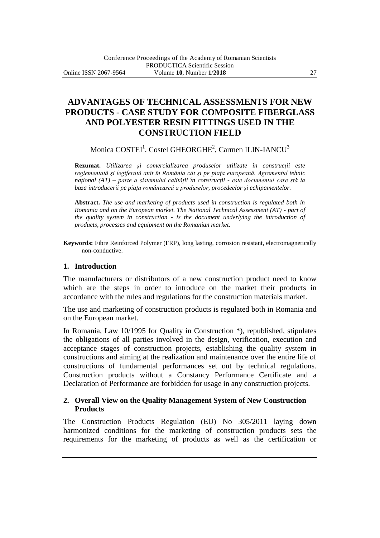# **ADVANTAGES OF TECHNICAL ASSESSMENTS FOR NEW PRODUCTS - CASE STUDY FOR COMPOSITE FIBERGLASS AND POLYESTER RESIN FITTINGS USED IN THE CONSTRUCTION FIELD**

Monica  $\mathrm{COSTE1}^1, \mathrm{Costel}$   $\mathrm{GHEORGHE}^2, \mathrm{Carmen}$  ILIN-IAN $\mathrm{CU}^3$ 

**Rezumat.** *Utilizarea şi comercializarea produselor utilizate în construcţii este reglementată şi legiferată atât în România cât şi pe piaţa europeană. Agrementul tehnic naţional (AT) – parte a sistemului calităţii în construcţii - este documentul care stă la baza introducerii pe piaţa românească a produselor, procedeelor şi echipamentelor.*

**Abstract.** *The use and marketing of products used in construction is regulated both in Romania and on the European market. The National Technical Assessment (AT) - part of the quality system in construction - is the document underlying the introduction of products, processes and equipment on the Romanian market.*

**Keywords:** Fibre Reinforced Polymer (FRP), long lasting, corrosion resistant, electromagnetically non-conductive.

### **1. Introduction**

The manufacturers or distributors of a new construction product need to know which are the steps in order to introduce on the market their products in accordance with the rules and regulations for the construction materials market.

The use and marketing of construction products is regulated both in Romania and on the European market.

In Romania, Law 10/1995 for Quality in Construction \*), republished, stipulates the obligations of all parties involved in the design, verification, execution and acceptance stages of construction projects, establishing the quality system in constructions and aiming at the realization and maintenance over the entire life of constructions of fundamental performances set out by technical regulations. Construction products without a Constancy Performance Certificate and a Declaration of Performance are forbidden for usage in any construction projects.

### **2. Overall View on the Quality Management System of New Construction Products**

The Construction Products Regulation (EU) No 305/2011 laying down harmonized conditions for the marketing of construction products sets the requirements for the marketing of products as well as the certification or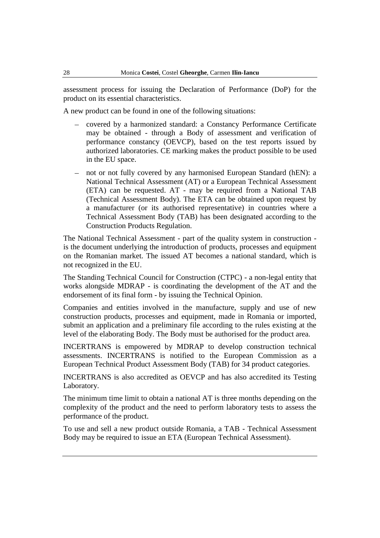assessment process for issuing the Declaration of Performance (DoP) for the product on its essential characteristics.

A new product can be found in one of the following situations:

- covered by a harmonized standard: a Constancy Performance Certificate may be obtained - through a Body of assessment and verification of performance constancy (OEVCP), based on the test reports issued by authorized laboratories. CE marking makes the product possible to be used in the EU space.
- not or not fully covered by any harmonised European Standard (hEN): a National Technical Assessment (AT) or a European Technical Assessment (ETA) can be requested. AT - may be required from a National TAB (Technical Assessment Body). The ETA can be obtained upon request by a manufacturer (or its authorised representative) in countries where a Technical Assessment Body (TAB) has been designated according to the Construction Products Regulation.

The National Technical Assessment - part of the quality system in construction is the document underlying the introduction of products, processes and equipment on the Romanian market. The issued AT becomes a national standard, which is not recognized in the EU.

The Standing Technical Council for Construction (CTPC) - a non-legal entity that works alongside MDRAP - is coordinating the development of the AT and the endorsement of its final form - by issuing the Technical Opinion.

Companies and entities involved in the manufacture, supply and use of new construction products, processes and equipment, made in Romania or imported, submit an application and a preliminary file according to the rules existing at the level of the elaborating Body. The Body must be authorised for the product area.

INCERTRANS is empowered by MDRAP to develop construction technical assessments. INCERTRANS is notified to the European Commission as a European Technical Product Assessment Body (TAB) for 34 product categories.

INCERTRANS is also accredited as OEVCP and has also accredited its Testing Laboratory.

The minimum time limit to obtain a national AT is three months depending on the complexity of the product and the need to perform laboratory tests to assess the performance of the product.

To use and sell a new product outside Romania, a TAB - Technical Assessment Body may be required to issue an ETA (European Technical Assessment).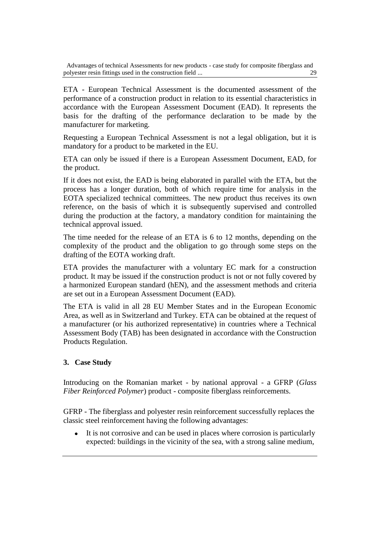ETA - European Technical Assessment is the documented assessment of the performance of a construction product in relation to its essential characteristics in accordance with the European Assessment Document (EAD). It represents the basis for the drafting of the performance declaration to be made by the manufacturer for marketing.

Requesting a European Technical Assessment is not a legal obligation, but it is mandatory for a product to be marketed in the EU.

ETA can only be issued if there is a European Assessment Document, EAD, for the product.

If it does not exist, the EAD is being elaborated in parallel with the ETA, but the process has a longer duration, both of which require time for analysis in the EOTA specialized technical committees. The new product thus receives its own reference, on the basis of which it is subsequently supervised and controlled during the production at the factory, a mandatory condition for maintaining the technical approval issued.

The time needed for the release of an ETA is 6 to 12 months, depending on the complexity of the product and the obligation to go through some steps on the drafting of the EOTA working draft.

ETA provides the manufacturer with a voluntary EC mark for a construction product. It may be issued if the construction product is not or not fully covered by a harmonized European standard (hEN), and the assessment methods and criteria are set out in a European Assessment Document (EAD).

The ETA is valid in all 28 EU Member States and in the European Economic Area, as well as in Switzerland and Turkey. ETA can be obtained at the request of a manufacturer (or his authorized representative) in countries where a Technical Assessment Body (TAB) has been designated in accordance with the Construction Products Regulation.

### **3. Case Study**

Introducing on the Romanian market - by national approval - a GFRP (*Glass Fiber Reinforced Polymer*) product - composite fiberglass reinforcements.

GFRP - The fiberglass and polyester resin reinforcement successfully replaces the classic steel reinforcement having the following advantages:

It is not corrosive and can be used in places where corrosion is particularly expected: buildings in the vicinity of the sea, with a strong saline medium,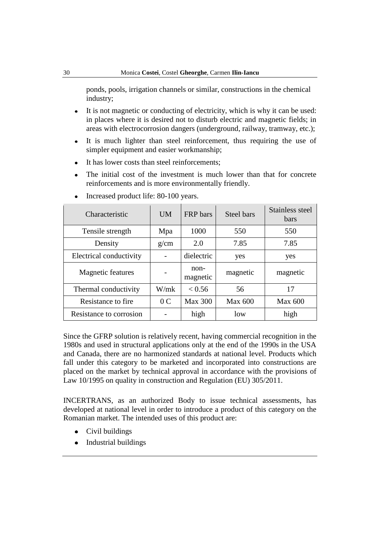ponds, pools, irrigation channels or similar, constructions in the chemical industry;

- It is not magnetic or conducting of electricity, which is why it can be used:  $\bullet$ in places where it is desired not to disturb electric and magnetic fields; in areas with electrocorrosion dangers (underground, railway, tramway, etc.);
- It is much lighter than steel reinforcement, thus requiring the use of  $\bullet$ simpler equipment and easier workmanship;
- It has lower costs than steel reinforcements;  $\bullet$
- The initial cost of the investment is much lower than that for concrete  $\bullet$ reinforcements and is more environmentally friendly.

| Characteristic           | UM             | <b>FRP</b> bars    | Steel bars | Stainless steel<br><b>bars</b> |
|--------------------------|----------------|--------------------|------------|--------------------------------|
| Tensile strength         | Mpa            | 1000               | 550        | 550                            |
| Density                  | g/cm           | 2.0                | 7.85       | 7.85                           |
| Electrical conductivity  | $\overline{a}$ | dielectric         | yes        | yes                            |
| <b>Magnetic features</b> |                | $non-$<br>magnetic | magnetic   | magnetic                       |
| Thermal conductivity     | W/mk           | < 0.56             | 56         | 17                             |
| Resistance to fire       | 0 <sub>C</sub> | <b>Max 300</b>     | Max 600    | <b>Max 600</b>                 |
| Resistance to corrosion  |                | high               | low        | high                           |

Increased product life: 80-100 years.  $\bullet$ 

Since the GFRP solution is relatively recent, having commercial recognition in the 1980s and used in structural applications only at the end of the 1990s in the USA and Canada, there are no harmonized standards at national level. Products which fall under this category to be marketed and incorporated into constructions are placed on the market by technical approval in accordance with the provisions of Law 10/1995 on quality in construction and Regulation (EU) 305/2011.

INCERTRANS, as an authorized Body to issue technical assessments, has developed at national level in order to introduce a product of this category on the Romanian market. The intended uses of this product are:

- Civil buildings
- Industrial buildings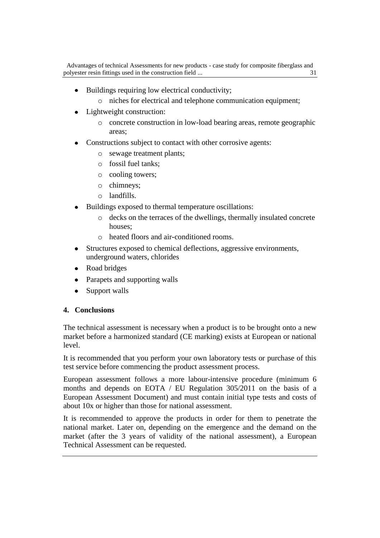- Buildings requiring low electrical conductivity;  $\bullet$ 
	- o niches for electrical and telephone communication equipment;
- Lightweight construction:  $\bullet$ 
	- o concrete construction in low-load bearing areas, remote geographic areas;
- Constructions subject to contact with other corrosive agents:
	- o sewage treatment plants;
	- o fossil fuel tanks;
	- o cooling towers;
	- o chimneys;
	- o landfills.
- Buildings exposed to thermal temperature oscillations:
	- o decks on the terraces of the dwellings, thermally insulated concrete houses;
	- o heated floors and air-conditioned rooms.
- Structures exposed to chemical deflections, aggressive environments, underground waters, chlorides
- Road bridges
- Parapets and supporting walls
- Support walls

### **4. Conclusions**

The technical assessment is necessary when a product is to be brought onto a new market before a harmonized standard (CE marking) exists at European or national level.

It is recommended that you perform your own laboratory tests or purchase of this test service before commencing the product assessment process.

European assessment follows a more labour-intensive procedure (minimum 6 months and depends on EOTA / EU Regulation 305/2011 on the basis of a European Assessment Document) and must contain initial type tests and costs of about 10x or higher than those for national assessment.

It is recommended to approve the products in order for them to penetrate the national market. Later on, depending on the emergence and the demand on the market (after the 3 years of validity of the national assessment), a European Technical Assessment can be requested.